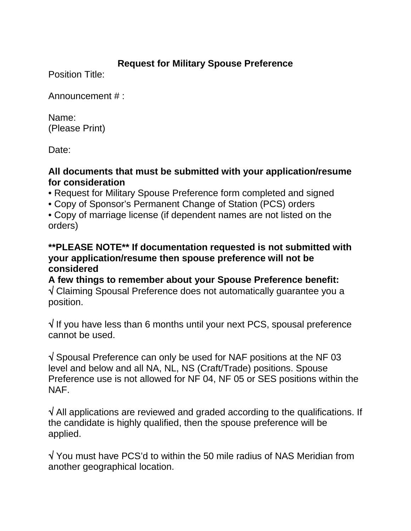## **Request for Military Spouse Preference**

Position Title:

Announcement # :

Name: (Please Print)

Date:

## **All documents that must be submitted with your application/resume for consideration**

• Request for Military Spouse Preference form completed and signed

• Copy of Sponsor's Permanent Change of Station (PCS) orders

• Copy of marriage license (if dependent names are not listed on the orders)

## **\*\*PLEASE NOTE\*\* If documentation requested is not submitted with your application/resume then spouse preference will not be considered**

## **A few things to remember about your Spouse Preference benefit:**

√ Claiming Spousal Preference does not automatically guarantee you a position.

√ If you have less than 6 months until your next PCS, spousal preference cannot be used.

√ Spousal Preference can only be used for NAF positions at the NF 03 level and below and all NA, NL, NS (Craft/Trade) positions. Spouse Preference use is not allowed for NF 04, NF 05 or SES positions within the NAF.

√ All applications are reviewed and graded according to the qualifications. If the candidate is highly qualified, then the spouse preference will be applied.

√ You must have PCS'd to within the 50 mile radius of NAS Meridian from another geographical location.